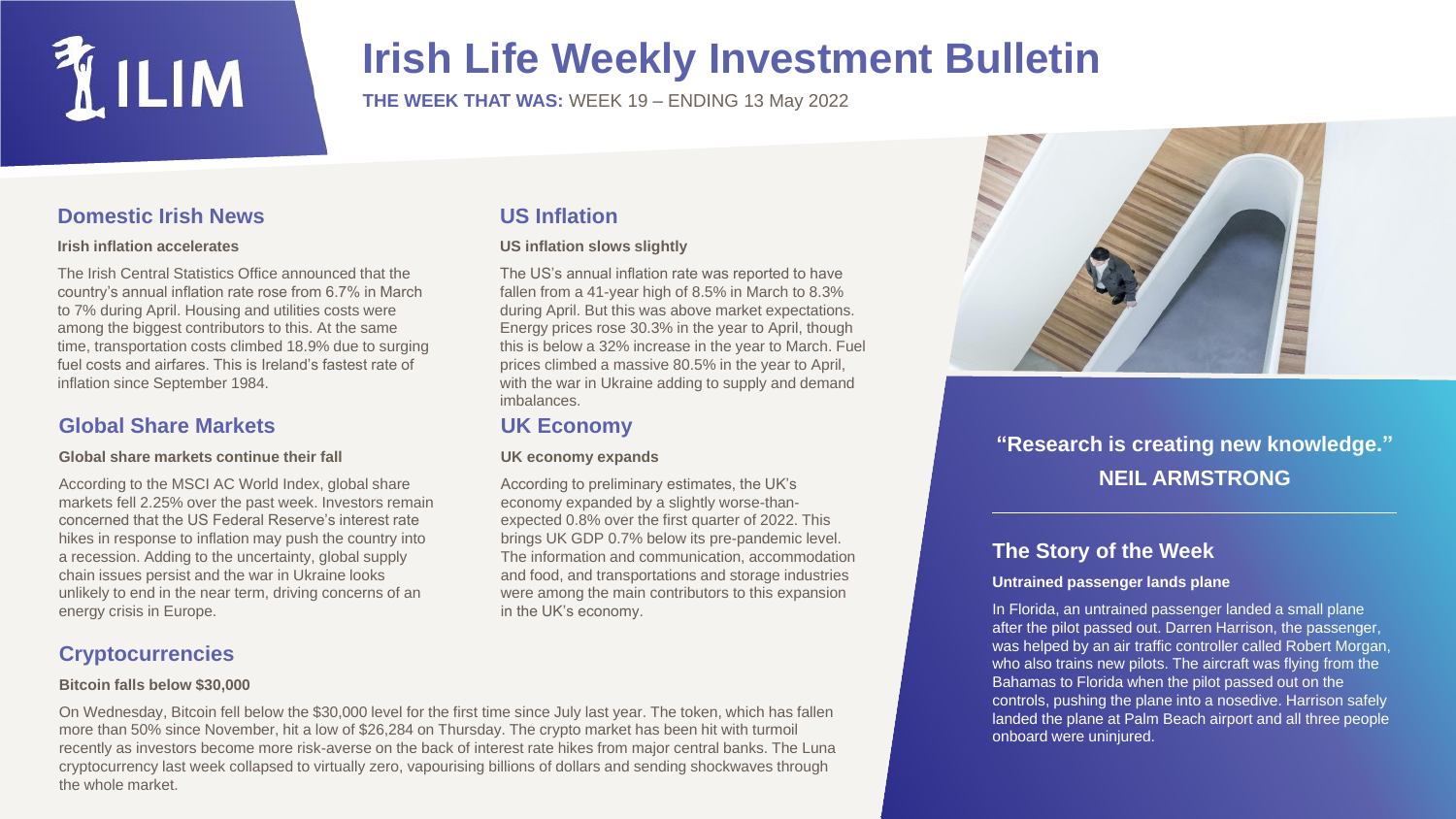

## **Irish Life Weekly Investment Bulletin**

**THE WEEK THAT WAS:** WEEK 19 – ENDING 13 May 2022

## **Domestic Irish News**

#### **Irish inflation accelerates**

The Irish Central Statistics Office announced that the country's annual inflation rate rose from 6.7% in March to 7% during April. Housing and utilities costs were among the biggest contributors to this. At the same time, transportation costs climbed 18.9% due to surging fuel costs and airfares. This is Ireland's fastest rate of inflation since September 1984.

## **Global Share Markets**

#### **Global share markets continue their fall**

According to the MSCI AC World Index, global share markets fell 2.25% over the past week. Investors remain concerned that the US Federal Reserve's interest rate hikes in response to inflation may push the country into a recession. Adding to the uncertainty, global supply chain issues persist and the war in Ukraine looks unlikely to end in the near term, driving concerns of an energy crisis in Europe.

## **Cryptocurrencies**

#### **Bitcoin falls below \$30,000**

**US Inflation** 

#### **US inflation slows slightly**

The US's annual inflation rate was reported to have fallen from a 41-year high of 8.5% in March to 8.3% during April. But this was above market expectations. Energy prices rose 30.3% in the year to April, though this is below a 32% increase in the year to March. Fuel prices climbed a massive 80.5% in the year to April, with the war in Ukraine adding to supply and demand imbalances.

### **UK Economy**

#### **UK economy expands**

According to preliminary estimates, the UK's economy expanded by a slightly worse-thanexpected 0.8% over the first quarter of 2022. This brings UK GDP 0.7% below its pre-pandemic level. The information and communication, accommodation and food, and transportations and storage industries were among the main contributors to this expansion in the UK's economy.



## **"Research is creating new knowledge." NEIL ARMSTRONG**

## **The Story of the Week**

#### **Untrained passenger lands plane**

In Florida, an untrained passenger landed a small plane after the pilot passed out. Darren Harrison, the passenger, was helped by an air traffic controller called Robert Morgan, who also trains new pilots. The aircraft was flying from the Bahamas to Florida when the pilot passed out on the controls, pushing the plane into a nosedive. Harrison safely landed the plane at Palm Beach airport and all three people onboard were uninjured.

On Wednesday, Bitcoin fell below the \$30,000 level for the first time since July last year. The token, which has fallen more than 50% since November, hit a low of \$26,284 on Thursday. The crypto market has been hit with turmoil recently as investors become more risk-averse on the back of interest rate hikes from major central banks. The Luna cryptocurrency last week collapsed to virtually zero, vapourising billions of dollars and sending shockwaves through the whole market.